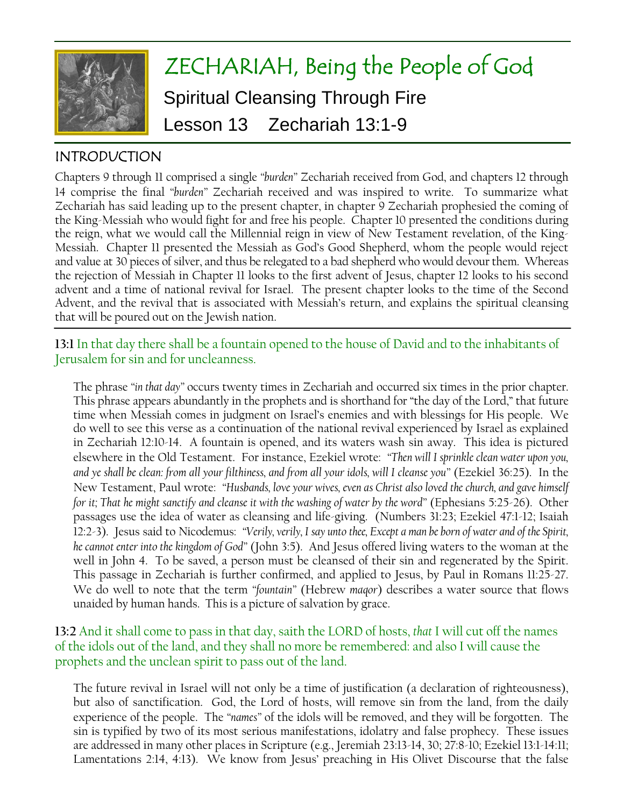

# ZECHARIAH, Being the People of God Spiritual Cleansing Through Fire Lesson 13 Zechariah 13:1-9

# INTRODUCTION

Chapters 9 through 11 comprised a single *"burden"* Zechariah received from God, and chapters 12 through 14 comprise the final *"burden"* Zechariah received and was inspired to write. To summarize what Zechariah has said leading up to the present chapter, in chapter 9 Zechariah prophesied the coming of the King-Messiah who would fight for and free his people. Chapter 10 presented the conditions during the reign, what we would call the Millennial reign in view of New Testament revelation, of the King-Messiah. Chapter 11 presented the Messiah as God's Good Shepherd, whom the people would reject and value at 30 pieces of silver, and thus be relegated to a bad shepherd who would devour them. Whereas the rejection of Messiah in Chapter 11 looks to the first advent of Jesus, chapter 12 looks to his second advent and a time of national revival for Israel. The present chapter looks to the time of the Second Advent, and the revival that is associated with Messiah's return, and explains the spiritual cleansing that will be poured out on the Jewish nation.

**13:1** In that day there shall be a fountain opened to the house of David and to the inhabitants of Jerusalem for sin and for uncleanness.

The phrase *"in that day"* occurs twenty times in Zechariah and occurred six times in the prior chapter. This phrase appears abundantly in the prophets and is shorthand for "the day of the Lord," that future time when Messiah comes in judgment on Israel's enemies and with blessings for His people. We do well to see this verse as a continuation of the national revival experienced by Israel as explained in Zechariah 12:10-14. A fountain is opened, and its waters wash sin away. This idea is pictured elsewhere in the Old Testament. For instance, Ezekiel wrote: *"Then will I sprinkle clean water upon you, and ye shall be clean: from all your filthiness, and from all your idols, will I cleanse you"* (Ezekiel 36:25). In the New Testament, Paul wrote: *"Husbands, love your wives, even as Christ also loved the church, and gave himself for it; That he might sanctify and cleanse it with the washing of water by the word"* (Ephesians 5:25-26). Other passages use the idea of water as cleansing and life-giving. (Numbers 31:23; Ezekiel 47:1-12; Isaiah 12:2-3). Jesus said to Nicodemus: *"Verily, verily, I say unto thee, Except a man be born of water and of the Spirit, he cannot enter into the kingdom of God"* (John 3:5). And Jesus offered living waters to the woman at the well in John 4. To be saved, a person must be cleansed of their sin and regenerated by the Spirit. This passage in Zechariah is further confirmed, and applied to Jesus, by Paul in Romans 11:25-27. We do well to note that the term *"fountain"* (Hebrew *maqor*) describes a water source that flows unaided by human hands. This is a picture of salvation by grace.

**13:2** And it shall come to pass in that day, saith the LORD of hosts, *that* I will cut off the names of the idols out of the land, and they shall no more be remembered: and also I will cause the prophets and the unclean spirit to pass out of the land.

The future revival in Israel will not only be a time of justification (a declaration of righteousness), but also of sanctification. God, the Lord of hosts, will remove sin from the land, from the daily experience of the people. The *"names"* of the idols will be removed, and they will be forgotten. The sin is typified by two of its most serious manifestations, idolatry and false prophecy. These issues are addressed in many other places in Scripture (e.g., Jeremiah 23:13-14, 30; 27:8-10; Ezekiel 13:1-14:11; Lamentations 2:14, 4:13). We know from Jesus' preaching in His Olivet Discourse that the false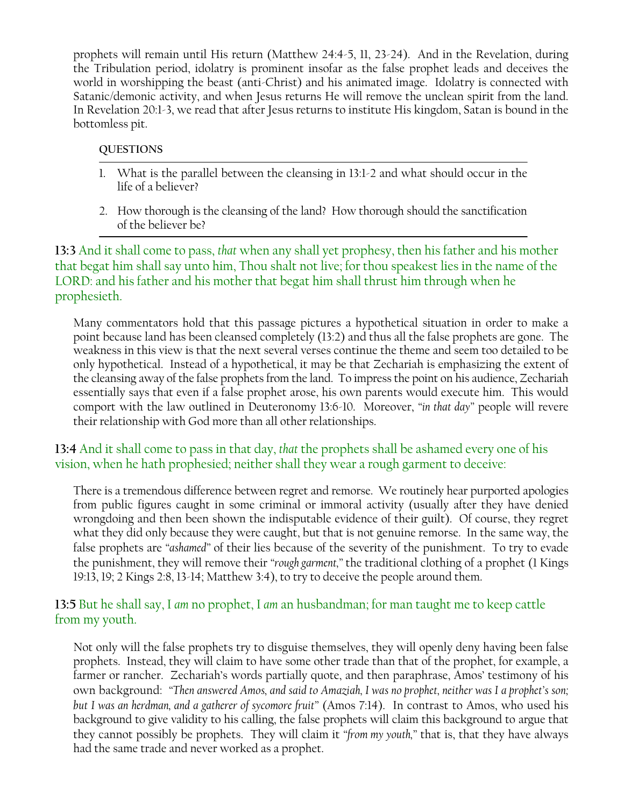prophets will remain until His return (Matthew 24:4-5, 11, 23-24). And in the Revelation, during the Tribulation period, idolatry is prominent insofar as the false prophet leads and deceives the world in worshipping the beast (anti-Christ) and his animated image. Idolatry is connected with Satanic/demonic activity, and when Jesus returns He will remove the unclean spirit from the land. In Revelation 20:1-3, we read that after Jesus returns to institute His kingdom, Satan is bound in the bottomless pit.

#### **QUESTIONS**

- 1. What is the parallel between the cleansing in 13:1-2 and what should occur in the life of a believer?
- 2. How thorough is the cleansing of the land? How thorough should the sanctification of the believer be?

**13:3** And it shall come to pass, *that* when any shall yet prophesy, then his father and his mother that begat him shall say unto him, Thou shalt not live; for thou speakest lies in the name of the LORD: and his father and his mother that begat him shall thrust him through when he prophesieth.

Many commentators hold that this passage pictures a hypothetical situation in order to make a point because land has been cleansed completely (13:2) and thus all the false prophets are gone. The weakness in this view is that the next several verses continue the theme and seem too detailed to be only hypothetical. Instead of a hypothetical, it may be that Zechariah is emphasizing the extent of the cleansing away of the false prophets from the land. To impress the point on his audience, Zechariah essentially says that even if a false prophet arose, his own parents would execute him. This would comport with the law outlined in Deuteronomy 13:6-10. Moreover, *"in that day"* people will revere their relationship with God more than all other relationships.

## **13:4** And it shall come to pass in that day, *that* the prophets shall be ashamed every one of his vision, when he hath prophesied; neither shall they wear a rough garment to deceive:

There is a tremendous difference between regret and remorse. We routinely hear purported apologies from public figures caught in some criminal or immoral activity (usually after they have denied wrongdoing and then been shown the indisputable evidence of their guilt). Of course, they regret what they did only because they were caught, but that is not genuine remorse. In the same way, the false prophets are *"ashamed"* of their lies because of the severity of the punishment. To try to evade the punishment, they will remove their *"rough garment,"* the traditional clothing of a prophet (1 Kings 19:13, 19; 2 Kings 2:8, 13-14; Matthew 3:4), to try to deceive the people around them.

## **13:5** But he shall say, I *am* no prophet, I *am* an husbandman; for man taught me to keep cattle from my youth.

Not only will the false prophets try to disguise themselves, they will openly deny having been false prophets. Instead, they will claim to have some other trade than that of the prophet, for example, a farmer or rancher. Zechariah's words partially quote, and then paraphrase, Amos' testimony of his own background: *"Then answered Amos, and said to Amaziah, I was no prophet, neither was I a prophet's son; but I was an herdman, and a gatherer of sycomore fruit"* (Amos 7:14). In contrast to Amos, who used his background to give validity to his calling, the false prophets will claim this background to argue that they cannot possibly be prophets. They will claim it *"from my youth,"* that is, that they have always had the same trade and never worked as a prophet.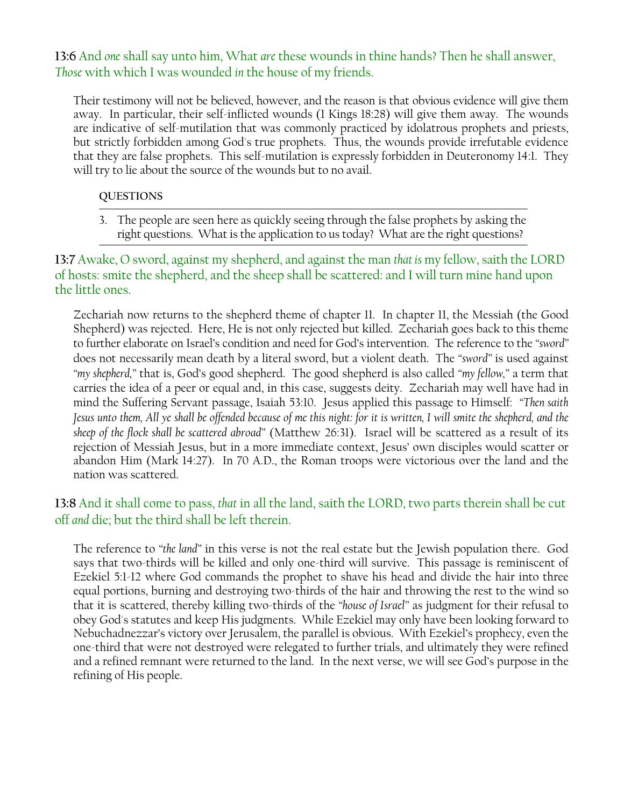**13:6** And *one* shall say unto him, What *are* these wounds in thine hands? Then he shall answer, *Those* with which I was wounded *in* the house of my friends.

Their testimony will not be believed, however, and the reason is that obvious evidence will give them away. In particular, their self-inflicted wounds (1 Kings 18:28) will give them away. The wounds are indicative of self-mutilation that was commonly practiced by idolatrous prophets and priests, but strictly forbidden among God's true prophets. Thus, the wounds provide irrefutable evidence that they are false prophets. This self-mutilation is expressly forbidden in Deuteronomy 14:1. They will try to lie about the source of the wounds but to no avail.

#### **QUESTIONS**

3. The people are seen here as quickly seeing through the false prophets by asking the right questions. What is the application to us today? What are the right questions?

**13:7** Awake, O sword, against my shepherd, and against the man *that is* my fellow, saith the LORD of hosts: smite the shepherd, and the sheep shall be scattered: and I will turn mine hand upon the little ones.

Zechariah now returns to the shepherd theme of chapter 11. In chapter 11, the Messiah (the Good Shepherd) was rejected. Here, He is not only rejected but killed. Zechariah goes back to this theme to further elaborate on Israel's condition and need for God's intervention. The reference to the *"sword"* does not necessarily mean death by a literal sword, but a violent death. The *"sword"* is used against *"my shepherd,"* that is, God's good shepherd. The good shepherd is also called *"my fellow,"* a term that carries the idea of a peer or equal and, in this case, suggests deity. Zechariah may well have had in mind the Suffering Servant passage, Isaiah 53:10. Jesus applied this passage to Himself: *"Then saith Jesus unto them, All ye shall be offended because of me this night: for it is written, I will smite the shepherd, and the sheep of the flock shall be scattered abroad"* (Matthew 26:31). Israel will be scattered as a result of its rejection of Messiah Jesus, but in a more immediate context, Jesus' own disciples would scatter or abandon Him (Mark 14:27). In 70 A.D., the Roman troops were victorious over the land and the nation was scattered.

# **13:8** And it shall come to pass, *that* in all the land, saith the LORD, two parts therein shall be cut off *and* die; but the third shall be left therein.

The reference to *"the land"* in this verse is not the real estate but the Jewish population there. God says that two-thirds will be killed and only one-third will survive. This passage is reminiscent of Ezekiel 5:1-12 where God commands the prophet to shave his head and divide the hair into three equal portions, burning and destroying two-thirds of the hair and throwing the rest to the wind so that it is scattered, thereby killing two-thirds of the *"house of Israel"* as judgment for their refusal to obey God's statutes and keep His judgments. While Ezekiel may only have been looking forward to Nebuchadnezzar's victory over Jerusalem, the parallel is obvious. With Ezekiel's prophecy, even the one-third that were not destroyed were relegated to further trials, and ultimately they were refined and a refined remnant were returned to the land. In the next verse, we will see God's purpose in the refining of His people.